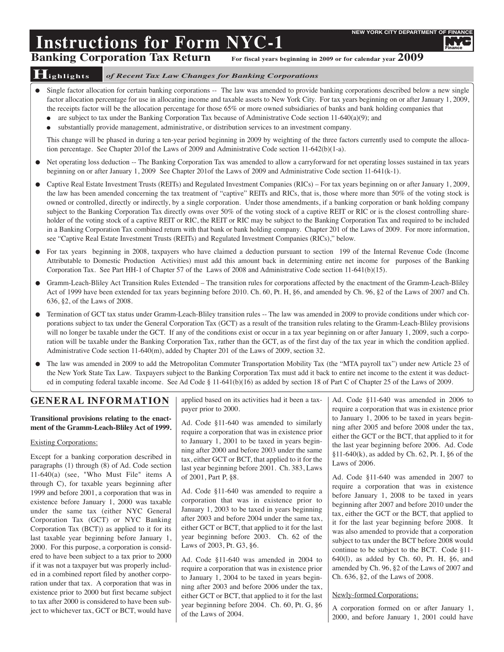Finance

# **Instructions for Form NYC-1**<br>Banking Corporation Tax Return For fiscal years beginning in 2009 or for calendar year 2009 **Banking Corporation Tax Return**

# **Highlights** *of Recent Tax Law Changes for Banking Corporations*

- Single factor allocation for certain banking corporations -- The law was amended to provide banking corporations described below a new single factor allocation percentage for use in allocating income and taxable assets to New York City. For tax years beginning on or after January 1, 2009, the receipts factor will be the allocation percentage for those 65% or more owned subsidiaries of banks and bank holding companies that
	- are subject to tax under the Banking Corporation Tax because of Administrative Code section 11-640(a)(9); and
	- substantially provide management, administrative, or distribution services to an investment company.

This change will be phased in during a ten-year period beginning in 2009 by weighting of the three factors currently used to compute the allocation percentage. See Chapter 201of the Laws of 2009 and Administrative Code section 11-642(b)(1-a).

- Net operating loss deduction -- The Banking Corporation Tax was amended to allow a carryforward for net operating losses sustained in tax years beginning on or after January 1, 2009 See Chapter 201of the Laws of 2009 and Administrative Code section 11-641(k-1).
- Captive Real Estate Investment Trusts (REITs) and Regulated Investment Companies (RICs) For tax years beginning on or after January 1, 2009, the law has been amended concerning the tax treatment of "captive" REITs and RICs, that is, those where more than 50% of the voting stock is owned or controlled, directly or indirectly, by a single corporation. Under those amendments, if a banking corporation or bank holding company subject to the Banking Corporation Tax directly owns over 50% of the voting stock of a captive REIT or RIC or is the closest controlling shareholder of the voting stock of a captive REIT or RIC, the REIT or RIC may be subject to the Banking Corporation Tax and required to be included in a Banking Corporation Tax combined return with that bank or bank holding company. Chapter 201 of the Laws of 2009. For more information, see "Captive Real Estate Investment Trusts (REITs) and Regulated Investment Companies (RICs)," below.
- For tax years beginning in 2008, taxpayers who have claimed a deduction pursuant to section 199 of the Internal Revenue Code (Income Attributable to Domestic Production Activities) must add this amount back in determining entire net income for purposes of the Banking Corporation Tax. See Part HH-1 of Chapter 57 of the Laws of 2008 and Administrative Code section 11-641(b)(15).
- Gramm-Leach-Bliley Act Transition Rules Extended The transition rules for corporations affected by the enactment of the Gramm-Leach-Bliley Act of 1999 have been extended for tax years beginning before 2010. Ch. 60, Pt. H, §6, and amended by Ch. 96, §2 of the Laws of 2007 and Ch. 636, §2, of the Laws of 2008.
- Termination of GCT tax status under Gramm-Leach-Bliley transition rules -- The law was amended in 2009 to provide conditions under which corporations subject to tax under the General Corporation Tax (GCT) as a result of the transition rules relating to the Gramm-Leach-Bliley provisions will no longer be taxable under the GCT. If any of the conditions exist or occur in a tax year beginning on or after January 1, 2009, such a corporation will be taxable under the Banking Corporation Tax, rather than the GCT, as of the first day of the tax year in which the condition applied. Administrative Code section 11-640(m), added by Chapter 201 of the Laws of 2009, section 32.
- The law was amended in 2009 to add the Metropolitan Commuter Transportation Mobility Tax (the "MTA payroll tax") under new Article 23 of the New York State Tax Law. Taxpayers subject to the Banking Corporation Tax must add it back to entire net income to the extent it was deducted in computing federal taxable income. See Ad Code § 11-641(b)(16) as added by section 18 of Part C of Chapter 25 of the Laws of 2009.

# **GENERAL INFORMATION**

# **Transitional provisions relating to the enactment of the Gramm-Leach-Bliley Act of 1999.**

# Existing Corporations:

Except for a banking corporation described in paragraphs (1) through (8) of Ad. Code section 11-640(a) (see, "Who Must File" items A through C), for taxable years beginning after 1999 and before 2001, a corporation that was in existence before January 1, 2000 was taxable under the same tax (either NYC General Corporation Tax (GCT) or NYC Banking Corporation Tax (BCT)) as applied to it for its last taxable year beginning before January 1, 2000. For this purpose, a corporation is considered to have been subject to a tax prior to 2000 if it was not a taxpayer but was properly included in a combined report filed by another corporation under that tax. A corporation that was in existence prior to 2000 but first became subject to tax after 2000 is considered to have been subject to whichever tax, GCT or BCT, would have applied based on its activities had it been a taxpayer prior to 2000.

Ad. Code §11-640 was amended to similarly require a corporation that was in existence prior to January 1, 2001 to be taxed in years beginning after 2000 and before 2003 under the same tax, either GCT or BCT, that applied to it for the last year beginning before 2001. Ch. 383, Laws of 2001, Part P, §8.

Ad. Code §11-640 was amended to require a corporation that was in existence prior to January 1, 2003 to be taxed in years beginning after 2003 and before 2004 under the same tax, either GCT or BCT, that applied to it for the last year beginning before 2003. Ch. 62 of the Laws of 2003, Pt. G3, §6.

Ad. Code §11-640 was amended in 2004 to require a corporation that was in existence prior to January 1, 2004 to be taxed in years beginning after 2003 and before 2006 under the tax, either GCT or BCT, that applied to it for the last year beginning before 2004. Ch. 60, Pt. G, §6 of the Laws of 2004.

Ad. Code §11-640 was amended in 2006 to require a corporation that was in existence prior to January 1, 2006 to be taxed in years beginning after 2005 and before 2008 under the tax, either the GCT or the BCT, that applied to it for the last year beginning before 2006. Ad. Code §11-640(k), as added by Ch. 62, Pt. I, §6 of the Laws of 2006.

Ad. Code §11-640 was amended in 2007 to require a corporation that was in existence before January 1, 2008 to be taxed in years beginning after 2007 and before 2010 under the tax, either the GCT or the BCT, that applied to it for the last year beginning before 2008. It was also amended to provide that a corporation subject to tax under the BCT before 2008 would continue to be subject to the BCT. Code §11- 640(l), as added by Ch. 60, Pt. H, §6, and amended by Ch. 96, §2 of the Laws of 2007 and Ch. 636, §2, of the Laws of 2008.

# Newly-formed Corporations:

A corporation formed on or after January 1, 2000, and before January 1, 2001 could have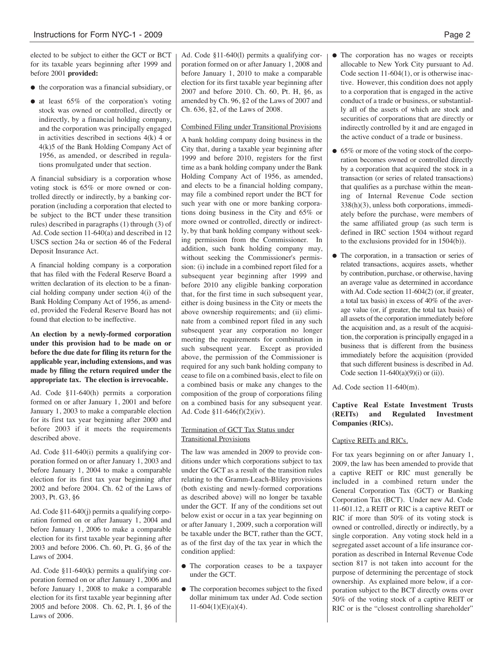elected to be subject to either the GCT or BCT for its taxable years beginning after 1999 and before 2001 **provided:**

- the corporation was a financial subsidiary, or
- at least 65% of the corporation's voting stock was owned or controlled, directly or indirectly, by a financial holding company, and the corporation was principally engaged in activities described in sections 4(k) 4 or 4(k)5 of the Bank Holding Company Act of 1956, as amended, or described in regulations promulgated under that section.

A financial subsidiary is a corporation whose voting stock is 65% or more owned or controlled directly or indirectly, by a banking corporation (including a corporation that elected to be subject to the BCT under these transition rules) described in paragraphs (1) through (3) of Ad. Code section 11-640(a) and described in 12 USCS section 24a or section 46 of the Federal Deposit Insurance Act.

A financial holding company is a corporation that has filed with the Federal Reserve Board a written declaration of its election to be a financial holding company under section 4(i) of the Bank Holding Company Act of 1956, as amended, provided the Federal Reserve Board has not found that election to be ineffective.

**An election by a newly-formed corporation under this provision had to be made on or before the due date for filing its return for the applicable year, including extensions, and was made by filing the return required under the appropriate tax. The election is irrevocable.**

Ad. Code §11-640(h) permits a corporation formed on or after January 1, 2001 and before January 1, 2003 to make a comparable election for its first tax year beginning after 2000 and before 2003 if it meets the requirements described above.

Ad. Code §11-640(i) permits a qualifying corporation formed on or after January 1, 2003 and before January 1, 2004 to make a comparable election for its first tax year beginning after 2002 and before 2004. Ch. 62 of the Laws of 2003, Pt. G3, §6

Ad. Code §11-640(j) permits a qualifying corporation formed on or after January 1, 2004 and before January 1, 2006 to make a comparable election for its first taxable year beginning after 2003 and before 2006. Ch. 60, Pt. G, §6 of the Laws of 2004.

Ad. Code §11-640(k) permits a qualifying corporation formed on or after January 1, 2006 and before January 1, 2008 to make a comparable election for its first taxable year beginning after 2005 and before 2008. Ch. 62, Pt. I, §6 of the Laws of 2006.

Ad. Code §11-640(l) permits a qualifying corporation formed on or after January 1, 2008 and before January 1, 2010 to make a comparable election for its first taxable year beginning after 2007 and before 2010. Ch. 60, Pt. H, §6, as amended by Ch. 96, §2 of the Laws of 2007 and Ch. 636, §2, of the Laws of 2008.

### Combined Filing under Transitional Provisions

A bank holding company doing business in the City that, during a taxable year beginning after 1999 and before 2010, registers for the first time as a bank holding company under the Bank Holding Company Act of 1956, as amended, and elects to be a financial holding company, may file a combined report under the BCT for such year with one or more banking corporations doing business in the City and 65% or more owned or controlled, directly or indirectly, by that bank holding company without seeking permission from the Commissioner. In addition, such bank holding company may, without seeking the Commissioner's permission: (i) include in a combined report filed for a subsequent year beginning after 1999 and before 2010 any eligible banking corporation that, for the first time in such subsequent year, either is doing business in the City or meets the above ownership requirements; and (ii) eliminate from a combined report filed in any such subsequent year any corporation no longer meeting the requirements for combination in such subsequent year. Except as provided above, the permission of the Commissioner is required for any such bank holding company to cease to file on a combined basis, elect to file on a combined basis or make any changes to the composition of the group of corporations filing on a combined basis for any subsequent year. Ad. Code §11-646(f)(2)(iv).

# Termination of GCT Tax Status under Transitional Provisions

The law was amended in 2009 to provide conditions under which corporations subject to tax under the GCT as a result of the transition rules relating to the Gramm-Leach-Bliley provisions (both existing and newly-formed corporations as described above) will no longer be taxable under the GCT. If any of the conditions set out below exist or occur in a tax year beginning on or after January 1, 2009, such a corporation will be taxable under the BCT, rather than the GCT, as of the first day of the tax year in which the condition applied:

- The corporation ceases to be a taxpayer under the GCT.
- The corporation becomes subject to the fixed dollar minimum tax under Ad. Code section  $11-604(1)(E)(a)(4)$ .
- The corporation has no wages or receipts allocable to New York City pursuant to Ad. Code section 11-604(1), or is otherwise inactive. However, this condition does not apply to a corporation that is engaged in the active conduct of a trade or business, or substantially all of the assets of which are stock and securities of corporations that are directly or indirectly controlled by it and are engaged in the active conduct of a trade or business.
- 65% or more of the voting stock of the corporation becomes owned or controlled directly by a corporation that acquired the stock in a transaction (or series of related transactions) that qualifies as a purchase within the meaning of Internal Revenue Code section 338(h)(3), unless both corporations, immediately before the purchase, were members of the same affiliated group (as such term is defined in IRC section 1504 without regard to the exclusions provided for in 1504(b)).
- The corporation, in a transaction or series of related transactions, acquires assets, whether by contribution, purchase, or otherwise, having an average value as determined in accordance with Ad. Code section 11-604(2) (or, if greater, a total tax basis) in excess of 40% of the average value (or, if greater, the total tax basis) of all assets of the corporation immediately before the acquisition and, as a result of the acquisition, the corporation is principally engaged in a business that is different from the business immediately before the acquisition (provided that such different business is described in Ad. Code section  $11-640(a)(9)(i)$  or (ii)).

Ad. Code section 11-640(m).

# **Captive Real Estate Investment Trusts (REITs) and Regulated Investment Companies (RICs).**

# Captive REITs and RICs.

For tax years beginning on or after January 1, 2009, the law has been amended to provide that a captive REIT or RIC must generally be included in a combined return under the General Corporation Tax (GCT) or Banking Corporation Tax (BCT). Under new Ad. Code 11-601.12, a REIT or RIC is a captive REIT or RIC if more than 50% of its voting stock is owned or controlled, directly or indirectly, by a single corporation. Any voting stock held in a segregated asset account of a life insurance corporation as described in Internal Revenue Code section 817 is not taken into account for the purpose of determining the percentage of stock ownership. As explained more below, if a corporation subject to the BCT directly owns over 50% of the voting stock of a captive REIT or RIC or is the "closest controlling shareholder"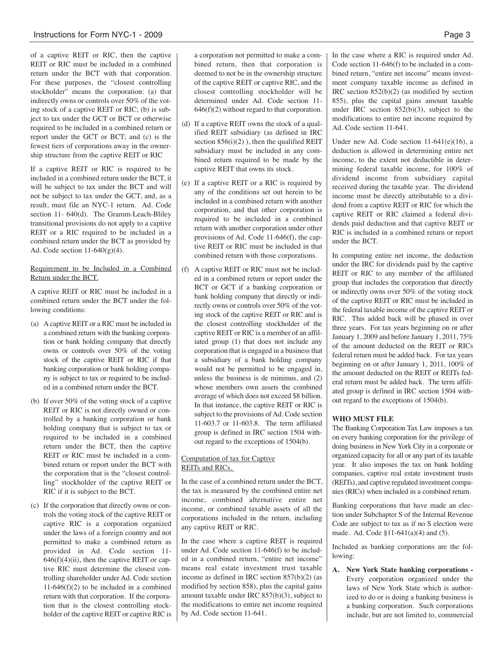of a captive REIT or RIC, then the captive REIT or RIC must be included in a combined return under the BCT with that corporation. For these purposes, the "closest controlling stockholder" means the corporation: (a) that indirectly owns or controls over 50% of the voting stock of a captive REIT or RIC; (b) is subject to tax under the GCT or BCT or otherwise required to be included in a combined return or report under the GCT or BCT; and (c) is the fewest tiers of corporations away in the ownership structure from the captive REIT or RIC

If a captive REIT or RIC is required to be included in a combined return under the BCT, it will be subject to tax under the BCT and will not be subject to tax under the GCT, and, as a result, must file an NYC-1 return. Ad. Code section 11- 640(d). The Gramm-Leach-Bliley transitional provisions do not apply to a captive REIT or a RIC required to be included in a combined return under the BCT as provided by Ad. Code section  $11-640(g)(4)$ .

#### Requirement to be Included in a Combined Return under the BCT.

A captive REIT or RIC must be included in a combined return under the BCT under the following conditions:

- (a) A captive REIT or a RIC must be included in a combined return with the banking corporation or bank holding company that directly owns or controls over 50% of the voting stock of the captive REIT or RIC if that banking corporation or bank holding company is subject to tax or required to be included in a combined return under the BCT.
- (b) If over 50% of the voting stock of a captive REIT or RIC is not directly owned or controlled by a banking corporation or bank holding company that is subject to tax or required to be included in a combined return under the BCT, then the captive REIT or RIC must be included in a combined return or report under the BCT with the corporation that is the "closest controlling" stockholder of the captive REIT or RIC if it is subject to the BCT.
- (c) If the corporation that directly owns or controls the voting stock of the captive REIT or captive RIC is a corporation organized under the laws of a foreign country and not permitted to make a combined return as provided in Ad. Code section 11-  $646(f)(4)(ii)$ , then the captive REIT or captive RIC must determine the closest controlling shareholder under Ad. Code section 11-646(f)(2) to be included in a combined return with that corporation. If the corporation that is the closest controlling stockholder of the captive REIT or captive RIC is

a corporation not permitted to make a combined return, then that corporation is deemed to not be in the ownership structure of the captive REIT or captive RIC, and the closest controlling stockholder will be determined under Ad. Code section 11-  $646(f)(2)$  without regard to that corporation.

- (d) If a captive REIT owns the stock of a qualified REIT subsidiary (as defined in IRC section  $856(i)(2)$ ), then the qualified REIT subsidiary must be included in any combined return required to be made by the captive REIT that owns its stock.
- (e) If a captive REIT or a RIC is required by any of the conditions set out herein to be included in a combined return with another corporation, and that other corporation is required to be included in a combined return with another corporation under other provisions of Ad. Code 11-646(f), the captive REIT or RIC must be included in that combined return with those corporations.
- (f) A captive REIT or RIC must not be included in a combined return or report under the BCT or GCT if a banking corporation or bank holding company that directly or indirectly owns or controls over 50% of the voting stock of the captive REIT or RIC and is the closest controlling stockholder of the captive REIT or RIC is a member of an affiliated group (1) that does not include any corporation that is engaged in a business that a subsidiary of a bank holding company would not be permitted to be engaged in, unless the business is de minimus, and (2) whose members own assets the combined average of which does not exceed \$8 billion. In that instance, the captive REIT or RIC is subject to the provisions of Ad. Code section 11-603.7 or 11-603.8. The term affiliated group is defined in IRC section 1504 without regard to the exceptions of 1504(b).

# Computation of tax for Captive REITs and RICs.

In the case of a combined return under the BCT, the tax is measured by the combined entire net income, combined alternative entire net income, or combined taxable assets of all the corporations included in the return, including any captive REIT or RIC.

In the case where a captive REIT is required under Ad. Code section 11-646(f) to be included in a combined return, "entire net income" means real estate investment trust taxable income as defined in IRC section 857(b)(2) (as modified by section 858), plus the capital gains amount taxable under IRC 857(b)(3), subject to the modifications to entire net income required by Ad. Code section 11-641.

In the case where a RIC is required under Ad. Code section 11-646(f) to be included in a combined return, "entire net income" means investment company taxable income as defined in IRC section 852(b)(2) (as modified by section 855), plus the capital gains amount taxable under IRC section 852(b)(3), subject to the modifications to entire net income required by Ad. Code section 11-641.

Under new Ad. Code section 11-641(e)(16), a deduction is allowed in determining entire net income, to the extent not deductible in determining federal taxable income, for 100% of dividend income from subsidiary capital received during the taxable year. The dividend income must be directly attributable to a dividend from a captive REIT or RIC for which the captive REIT or RIC claimed a federal dividends paid deduction and that captive REIT or RIC is included in a combined return or report under the BCT.

In computing entire net income, the deduction under the IRC for dividends paid by the captive REIT or RIC to any member of the affiliated group that includes the corporation that directly or indirectly owns over 50% of the voting stock of the captive REIT or RIC must be included in the federal taxable income of the captive REIT or RIC. This added back will be phased in over three years. For tax years beginning on or after January 1, 2009 and before January 1, 2011, 75% of the amount deducted on the REIT or RICs federal return must be added back. For tax years beginning on or after January 1, 2011, 100% of the amount deducted on the REIT or REITs federal return must be added back. The term affiliated group is defined in IRC section 1504 without regard to the exceptions of 1504(b).

# **WHO MUST FILE**

The Banking Corporation Tax Law imposes a tax on every banking corporation for the privilege of doing business in New York City in a corporate or organized capacity for all or any part of its taxable year. It also imposes the tax on bank holding companies, captive real estate investment trusts (REITs), and captive regulated investment companies (RICs) when included in a combined return.

Banking corporations that have made an election under Subchapter S of the Internal Revenue Code are subject to tax as if no S election were made. Ad. Code §11-641(a)(4) and (5).

Included as banking corporations are the following:

**A. New York State banking corporations -** Every corporation organized under the laws of New York State which is authorized to do or is doing a banking business is a banking corporation. Such corporations include, but are not limited to, commercial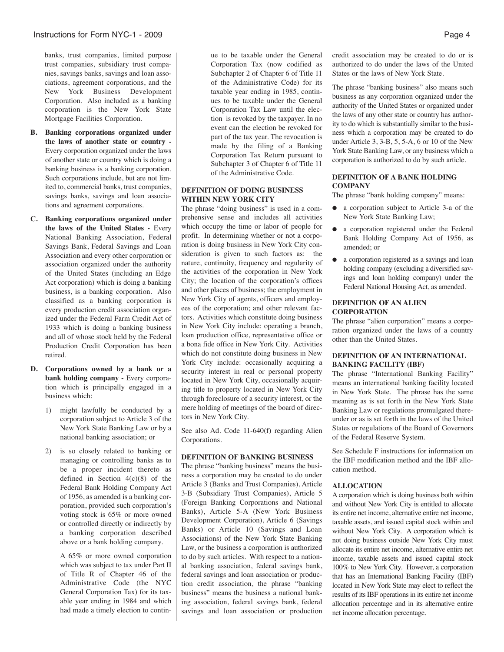banks, trust companies, limited purpose trust companies, subsidiary trust companies, savings banks, savings and loan associations, agreement corporations, and the New York Business Development Corporation. Also included as a banking corporation is the New York State Mortgage Facilities Corporation.

- **B. Banking corporations organized under the laws of another state or country -** Every corporation organized under the laws of another state or country which is doing a banking business is a banking corporation. Such corporations include, but are not limited to, commercial banks, trust companies, savings banks, savings and loan associations and agreement corporations.
- **C. Banking corporations organized under the laws of the United States -** Every National Banking Association, Federal Savings Bank, Federal Savings and Loan Association and every other corporation or association organized under the authority of the United States (including an Edge Act corporation) which is doing a banking business, is a banking corporation. Also classified as a banking corporation is every production credit association organized under the Federal Farm Credit Act of 1933 which is doing a banking business and all of whose stock held by the Federal Production Credit Corporation has been retired.
- **D. Corporations owned by a bank or a bank holding company -** Every corporation which is principally engaged in a business which:
	- 1) might lawfully be conducted by a corporation subject to Article 3 of the New York State Banking Law or by a national banking association; or
	- 2) is so closely related to banking or managing or controlling banks as to be a proper incident thereto as defined in Section 4(c)(8) of the Federal Bank Holding Company Act of 1956, as amended is a banking corporation, provided such corporation's voting stock is 65% or more owned or controlled directly or indirectly by a banking corporation described above or a bank holding company.

A 65% or more owned corporation which was subject to tax under Part II of Title R of Chapter 46 of the Administrative Code (the NYC General Corporation Tax) for its taxable year ending in 1984 and which had made a timely election to continue to be taxable under the General Corporation Tax (now codified as Subchapter 2 of Chapter 6 of Title 11 of the Administrative Code) for its taxable year ending in 1985, continues to be taxable under the General Corporation Tax Law until the election is revoked by the taxpayer. In no event can the election be revoked for part of the tax year. The revocation is made by the filing of a Banking Corporation Tax Return pursuant to Subchapter 3 of Chapter 6 of Title 11 of the Administrative Code.

# **DEFINITION OF DOING BUSINESS WITHIN NEW YORK CITY**

The phrase "doing business" is used in a comprehensive sense and includes all activities which occupy the time or labor of people for profit. In determining whether or not a corporation is doing business in New York City consideration is given to such factors as: the nature, continuity, frequency and regularity of the activities of the corporation in New York City; the location of the corporation's offices and other places of business; the employment in New York City of agents, officers and employees of the corporation; and other relevant factors. Activities which constitute doing business in New York City include: operating a branch, loan production office, representative office or a bona fide office in New York City. Activities which do not constitute doing business in New York City include: occasionally acquiring a security interest in real or personal property located in New York City, occasionally acquiring title to property located in New York City through foreclosure of a security interest, or the mere holding of meetings of the board of directors in New York City.

See also Ad. Code 11-640(f) regarding Alien Corporations.

# **DEFINITION OF BANKING BUSINESS**

The phrase "banking business" means the business a corporation may be created to do under Article 3 (Banks and Trust Companies), Article 3-B (Subsidiary Trust Companies), Article 5 (Foreign Banking Corporations and National Banks), Article 5-A (New York Business Development Corporation), Article 6 (Savings Banks) or Article 10 (Savings and Loan Associations) of the New York State Banking Law, or the business a corporation is authorized to do by such articles. With respect to a national banking association, federal savings bank, federal savings and loan association or production credit association, the phrase "banking business" means the business a national banking association, federal savings bank, federal savings and loan association or production credit association may be created to do or is authorized to do under the laws of the United States or the laws of New York State.

The phrase "banking business" also means such business as any corporation organized under the authority of the United States or organized under the laws of any other state or country has authority to do which is substantially similar to the business which a corporation may be created to do under Article 3, 3-B, 5, 5-A, 6 or 10 of the New York State Banking Law, or any business which a corporation is authorized to do by such article.

# **DEFINITION OF A BANK HOLDING COMPANY**

The phrase "bank holding company" means:

- a corporation subject to Article 3-a of the New York State Banking Law;
- a corporation registered under the Federal Bank Holding Company Act of 1956, as amended; or
- a corporation registered as a savings and loan holding company (excluding a diversified savings and loan holding company) under the Federal National Housing Act, as amended.

## **DEFINITION OF AN ALIEN CORPORATION**

The phrase "alien corporation" means a corporation organized under the laws of a country other than the United States.

# **DEFINITION OF AN INTERNATIONAL BANKING FACILITY (IBF)**

The phrase "International Banking Facility" means an international banking facility located in New York State. The phrase has the same meaning as is set forth in the New York State Banking Law or regulations promulgated thereunder or as is set forth in the laws of the United States or regulations of the Board of Governors of the Federal Reserve System.

See Schedule F instructions for information on the IBF modification method and the IBF allocation method.

# **ALLOCATION**

A corporation which is doing business both within and without New York City is entitled to allocate its entire net income, alternative entire net income, taxable assets, and issued capital stock within and without New York City. A corporation which is not doing business outside New York City must allocate its entire net income, alternative entire net income, taxable assets and issued capital stock 100% to New York City. However, a corporation that has an International Banking Facility (IBF) located in New York State may elect to reflect the results of its IBF operations in its entire net income allocation percentage and in its alternative entire net income allocation percentage.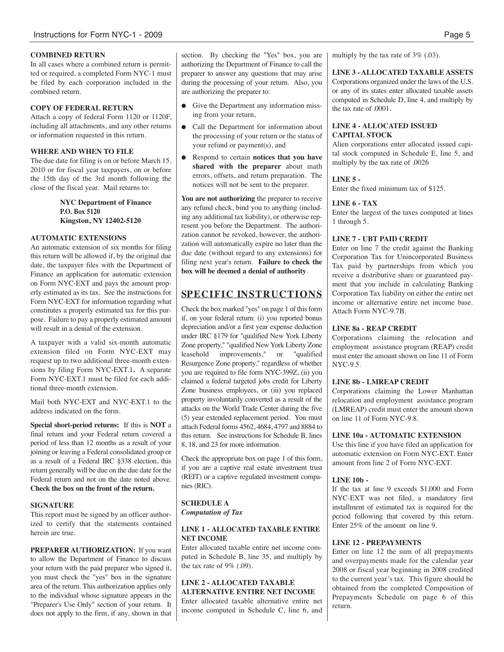# **COMBINED RETURN**

In all cases where a combined return is permitted or required, a completed Form NYC-1 must be filed by each corporation included in the combined return.

# **COPY OF FEDERAL RETURN**

Attach a copy of federal Form 1120 or 1120F, including all attachments, and any other returns or information requested in this return.

# **WHERE AND WHEN TO FILE**

The due date for filing is on or before March 15, 2010 or for fiscal year taxpayers, on or before the 15th day of the 3rd month following the close of the fiscal year. Mail returns to:

> **NYC Department of Finance P.O. Box 5120 Kingston, NY 12402-5120**

# **AUTOMATIC EXTENSIONS**

An automatic extension of six months for filing this return will be allowed if, by the original due date, the taxpayer files with the Department of Finance an application for automatic extension on Form NYC-EXT and pays the amount properly estimated as its tax. See the instructions for Form NYC-EXT for information regarding what constitutes a properly estimated tax for this purpose. Failure to pay a properly estimated amount will result in a denial of the extension.

A taxpayer with a valid six-month automatic extension filed on Form NYC-EXT may request up to two additional three-month extensions by filing Form NYC-EXT.1**.** A separate Form NYC-EXT.1 must be filed for each additional three-month extension.

Mail both NYC-EXT and NYC-EXT.1 to the address indicated on the form.

**Special short-period returns:** If this is **NOT** a final return and your Federal return covered a period of less than 12 months as a result of your joining or leaving a Federal consolidated group or as a result of a Federal IRC §338 election, this return generally will be due on the due date for the Federal return and not on the date noted above. **Check the box on the front of the return.**

# **SIGNATURE**

This report must be signed by an officer authorized to certify that the statements contained herein are true.

**PREPARER AUTHORIZATION:** If you want to allow the Department of Finance to discuss your return with the paid preparer who signed it, you must check the "yes" box in the signature area of the return. This authorization applies only to the individual whose signature appears in the "Preparer's Use Only" section of your return. It does not apply to the firm, if any, shown in that section. By checking the "Yes" box, you are authorizing the Department of Finance to call the preparer to answer any questions that may arise during the processing of your return. Also, you are authorizing the preparer to:

- Give the Department any information missing from your return,
- Call the Department for information about the processing of your return or the status of your refund or payment(s), and
- Respond to certain **notices that you have shared with the preparer** about math errors, offsets, and return preparation. The notices will not be sent to the preparer.

**You are not authorizing** the preparer to receive any refund check, bind you to anything (including any additional tax liability), or otherwise represent you before the Department. The authorization cannot be revoked, however, the authorization will automatically expire no later than the due date (without regard to any extensions) for filing next year's return. **Failure to check the box will be deemed a denial of authority**.

# **SPECIFIC INSTRUCTIONS**

Check the box marked "yes" on page 1 of this form if, on your federal return: (i) you reported bonus depreciation and/or a first year expense deduction under IRC §179 for "qualified New York Liberty Zone property," "qualified New York Liberty Zone leasehold improvements," or "qualified Resurgence Zone property," regardless of whether you are required to file form NYC-399Z, (ii) you claimed a federal targeted jobs credit for Liberty Zone business employees, or (iii) you replaced property involuntarily converted as a result of the attacks on the World Trade Center during the five (5) year extended replacement period. You must attach Federal forms 4562, 4684, 4797 and 8884 to this return. See instructions for Schedule B, lines 8, 18, and 23 for more information.

Check the appropriate box on page 1 of this form, if you are a captive real estate investment trust (REIT) or a captive regulated investment companies (RIC).

# **SCHEDULE A** *Computation of Tax*

# **LINE 1 - ALLOCATED TAXABLE ENTIRE NET INCOME**

Enter allocated taxable entire net income computed in Schedule B, line 35, and multiply by the tax rate of  $9\%$  (.09).

# **LINE 2 - ALLOCATED TAXABLE ALTERNATIVE ENTIRE NET INCOME**

Enter allocated taxable alternative entire net income computed in Schedule C, line 6, and multiply by the tax rate of 3% (.03).

**LINE 3 - ALLOCATED TAXABLE ASSETS** Corporations organized under the laws of the U.S. or any of its states enter allocated taxable assets computed in Schedule D, line 4, and multiply by the tax rate of .0001.

# **LINE 4 - ALLOCATED ISSUED CAPITAL STOCK**

Alien corporations enter allocated issued capital stock computed in Schedule E, line 5, and multiply by the tax rate of .0026

# **LINE 5 -**

Enter the fixed minimum tax of \$125.

# **LINE 6 - TAX**

Enter the largest of the taxes computed at lines 1 through 5.

# **LINE 7 - UBT PAID CREDIT**

Enter on line 7 the credit against the Banking Corporation Tax for Unincorporated Business Tax paid by partnerships from which you receive a distributive share or guaranteed payment that you include in calculating Banking Corporation Tax liability on either the entire net income or alternative entire net income base. Attach Form NYC-9.7B.

# **LINE 8a - REAP CREDIT**

Corporations claiming the relocation and employment assistance program (REAP) credit must enter the amount shown on line 11 of Form NYC-9.5.

# **LINE 8b - LMREAP CREDIT**

Corporations claiming the Lower Manhattan relocation and employment assistance program (LMREAP) credit must enter the amount shown on line 11 of Form NYC-9.8.

# **LINE 10a - AUTOMATIC EXTENSION**

Use this line if you have filed an application for automatic extension on Form NYC-EXT. Enter amount from line 2 of Form NYC-EXT.

# **LINE 10b -**

If the tax at line 9 exceeds \$1,000 and Form NYC-EXT was not filed, a mandatory first installment of estimated tax is required for the period following that covered by this return. Enter 25% of the amount on line 9.

# **LINE 12 - PREPAYMENTS**

Enter on line 12 the sum of all prepayments and overpayments made for the calendar year 2008 or fiscal year beginning in 2008 credited to the current year's tax. This figure should be obtained from the completed Composition of Prepayments Schedule on page 6 of this return.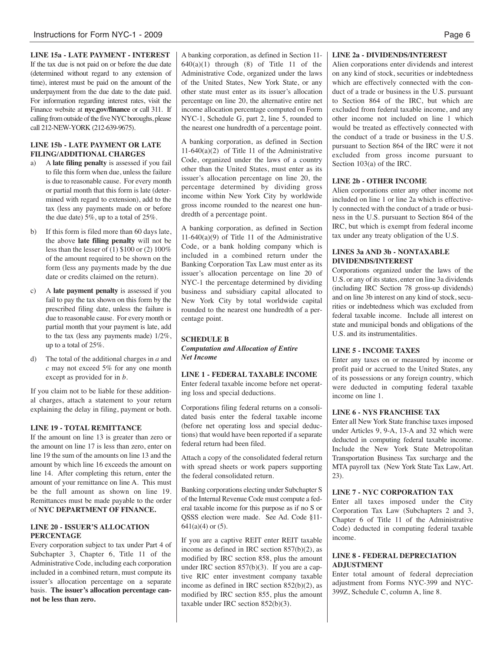**LINE 15a - LATE PAYMENT - INTEREST** If the tax due is not paid on or before the due date (determined without regard to any extension of time), interest must be paid on the amount of the underpayment from the due date to the date paid. For information regarding interest rates, visit the Finance website at **nyc.gov/finance** or call 311. If calling from outside of the five NYC boroughs, please call 212-NEW-YORK (212-639-9675).

# **LINE 15b - LATE PAYMENT OR LATE FILING/ADDITIONAL CHARGES**

- a) A **late filing penalty** is assessed if you fail to file this form when due, unless the failure is due to reasonable cause. For every month or partial month that this form is late (determined with regard to extension), add to the tax (less any payments made on or before the due date) 5%, up to a total of 25%.
- b) If this form is filed more than 60 days late, the above **late filing penalty** will not be less than the lesser of (1) \$100 or (2) 100% of the amount required to be shown on the form (less any payments made by the due date or credits claimed on the return).
- c) A **late payment penalty** is assessed if you fail to pay the tax shown on this form by the prescribed filing date, unless the failure is due to reasonable cause. For every month or partial month that your payment is late, add to the tax (less any payments made) 1/2%, up to a total of 25%.
- d) The total of the additional charges in *a* and *c* may not exceed 5% for any one month except as provided for in *b.*

If you claim not to be liable for these additional charges, attach a statement to your return explaining the delay in filing, payment or both.

# **LINE 19 - TOTAL REMITTANCE**

If the amount on line 13 is greater than zero or the amount on line 17 is less than zero, enter on line 19 the sum of the amounts on line 13 and the amount by which line 16 exceeds the amount on line 14. After completing this return, enter the amount of your remittance on line A. This must be the full amount as shown on line 19. Remittances must be made payable to the order of **NYC DEPARTMENT OF FINANCE.**

## **LINE 20 - ISSUER'S ALLOCATION PERCENTAGE**

Every corporation subject to tax under Part 4 of Subchapter 3, Chapter 6, Title 11 of the Administrative Code, including each corporation included in a combined return, must compute its issuer's allocation percentage on a separate basis. **The issuer's allocation percentage cannot be less than zero.**

A banking corporation, as defined in Section 11-  $640(a)(1)$  through  $(8)$  of Title 11 of the Administrative Code, organized under the laws of the United States, New York State, or any other state must enter as its issuer's allocation percentage on line 20, the alternative entire net income allocation percentage computed on Form NYC-1, Schedule G, part 2, line 5, rounded to the nearest one hundredth of a percentage point.

A banking corporation, as defined in Section 11-640(a)(2) of Title 11 of the Administrative Code, organized under the laws of a country other than the United States, must enter as its issuer's allocation percentage on line 20, the percentage determined by dividing gross income within New York City by worldwide gross income rounded to the nearest one hundredth of a percentage point.

A banking corporation, as defined in Section 11-640(a)(9) of Title 11 of the Administrative Code, or a bank holding company which is included in a combined return under the Banking Corporation Tax Law must enter as its issuer's allocation percentage on line 20 of NYC-1 the percentage determined by dividing business and subsidiary capital allocated to New York City by total worldwide capital rounded to the nearest one hundredth of a percentage point.

#### **SCHEDULE B**

*Computation and Allocation of Entire Net Income*

**LINE 1 - FEDERAL TAXABLE INCOME** Enter federal taxable income before net operating loss and special deductions.

Corporations filing federal returns on a consolidated basis enter the federal taxable income (before net operating loss and special deductions) that would have been reported if a separate federal return had been filed.

Attach a copy of the consolidated federal return with spread sheets or work papers supporting the federal consolidated return.

Banking corporations electing under Subchapter S of the Internal Revenue Code must compute a federal taxable income for this purpose as if no S or QSSS election were made. See Ad. Code §11-  $641(a)(4)$  or  $(5)$ .

If you are a captive REIT enter REIT taxable income as defined in IRC section 857(b)(2), as modified by IRC section 858, plus the amount under IRC section 857(b)(3). If you are a captive RIC enter investment company taxable income as defined in IRC section 852(b)(2), as modified by IRC section 855, plus the amount taxable under IRC section 852(b)(3).

# **LINE 2a - DIVIDENDS/INTEREST**

Alien corporations enter dividends and interest on any kind of stock, securities or indebtedness which are effectively connected with the conduct of a trade or business in the U.S. pursuant to Section 864 of the IRC, but which are excluded from federal taxable income, and any other income not included on line 1 which would be treated as effectively connected with the conduct of a trade or business in the U.S. pursuant to Section 864 of the IRC were it not excluded from gross income pursuant to Section 103(a) of the IRC.

# **LINE 2b - OTHER INCOME**

Alien corporations enter any other income not included on line 1 or line 2a which is effectively connected with the conduct of a trade or business in the U.S. pursuant to Section 864 of the IRC, but which is exempt from federal income tax under any treaty obligation of the U.S.

# **LINES 3a AND 3b - NONTAXABLE DIVIDENDS/INTEREST**

Corporations organized under the laws of the U.S. or any of its states, enter on line 3a dividends (including IRC Section 78 gross-up dividends) and on line 3b interest on any kind of stock, securities or indebtedness which was excluded from federal taxable income. Include all interest on state and municipal bonds and obligations of the U.S. and its instrumentalities.

# **LINE 5 - INCOME TAXES**

Enter any taxes on or measured by income or profit paid or accrued to the United States, any of its possessions or any foreign country, which were deducted in computing federal taxable income on line 1.

# **LINE 6 - NYS FRANCHISE TAX**

Enter all New York State franchise taxes imposed under Articles 9, 9-A, 13-A and 32 which were deducted in computing federal taxable income. Include the New York State Metropolitan Transportation Business Tax surcharge and the MTA payroll tax (New York State Tax Law, Art. 23).

# **LINE 7 - NYC CORPORATION TAX**

Enter all taxes imposed under the City Corporation Tax Law (Subchapters 2 and 3, Chapter 6 of Title 11 of the Administrative Code) deducted in computing federal taxable income.

# **LINE 8 - FEDERAL DEPRECIATION ADJUSTMENT**

Enter total amount of federal depreciation adjustment from Forms NYC-399 and NYC-399Z, Schedule C, column A, line 8.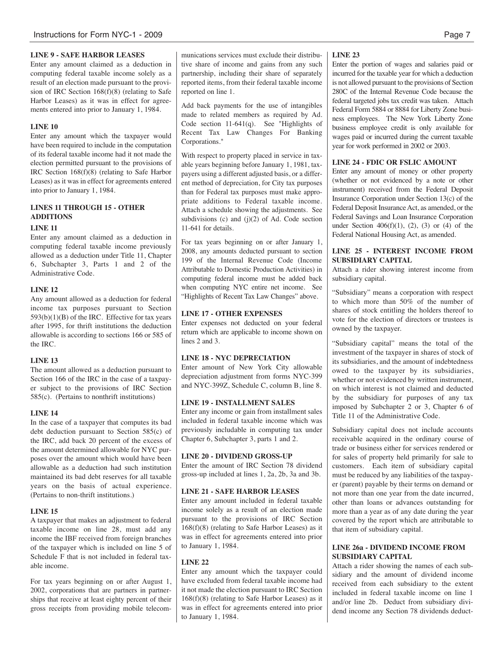# **LINE 9 - SAFE HARBOR LEASES**

Enter any amount claimed as a deduction in computing federal taxable income solely as a result of an election made pursuant to the provision of IRC Section 168(f)(8) (relating to Safe Harbor Leases) as it was in effect for agreements entered into prior to January 1, 1984.

#### **LINE 10**

Enter any amount which the taxpayer would have been required to include in the computation of its federal taxable income had it not made the election permitted pursuant to the provisions of IRC Section 168(f)(8) (relating to Safe Harbor Leases) as it was in effect for agreements entered into prior to January 1, 1984.

# **LINES 11 THROUGH 15 - OTHER ADDITIONS**

#### **LINE 11**

Enter any amount claimed as a deduction in computing federal taxable income previously allowed as a deduction under Title 11, Chapter 6, Subchapter 3, Parts 1 and 2 of the Administrative Code.

#### **LINE 12**

Any amount allowed as a deduction for federal income tax purposes pursuant to Section  $593(b)(1)(B)$  of the IRC. Effective for tax years after 1995, for thrift institutions the deduction allowable is according to sections 166 or 585 of the IRC.

#### **LINE 13**

The amount allowed as a deduction pursuant to Section 166 of the IRC in the case of a taxpayer subject to the provisions of IRC Section 585(c). (Pertains to nonthrift institutions)

#### **LINE 14**

In the case of a taxpayer that computes its bad debt deduction pursuant to Section 585(c) of the IRC, add back 20 percent of the excess of the amount determined allowable for NYC purposes over the amount which would have been allowable as a deduction had such institution maintained its bad debt reserves for all taxable years on the basis of actual experience. (Pertains to non-thrift institutions.)

#### **LINE 15**

A taxpayer that makes an adjustment to federal taxable income on line 28, must add any income the IBF received from foreign branches of the taxpayer which is included on line 5 of Schedule F that is not included in federal taxable income.

For tax years beginning on or after August 1, 2002, corporations that are partners in partnerships that receive at least eighty percent of their gross receipts from providing mobile telecommunications services must exclude their distributive share of income and gains from any such partnership, including their share of separately reported items, from their federal taxable income reported on line 1.

Add back payments for the use of intangibles made to related members as required by Ad. Code section 11-641(q). See "Highlights of Recent Tax Law Changes For Banking Corporations."

With respect to property placed in service in taxable years beginning before January 1, 1981, taxpayers using a different adjusted basis, or a different method of depreciation, for City tax purposes than for Federal tax purposes must make appropriate additions to Federal taxable income. Attach a schedule showing the adjustments. See subdivisions  $(c)$  and  $(j)(2)$  of Ad. Code section 11-641 for details.

For tax years beginning on or after January 1, 2008, any amounts deducted pursuant to section 199 of the Internal Revenue Code (Income Attributable to Domestic Production Activities) in computing federal income must be added back when computing NYC entire net income. See "Highlights of Recent Tax Law Changes" above.

#### **LINE 17 - OTHER EXPENSES**

Enter expenses not deducted on your federal return which are applicable to income shown on lines 2 and 3.

# **LINE 18 - NYC DEPRECIATION**

Enter amount of New York City allowable depreciation adjustment from forms NYC-399 and NYC-399Z, Schedule C, column B, line 8.

#### **LINE 19 - INSTALLMENT SALES**

Enter any income or gain from installment sales included in federal taxable income which was previously includable in computing tax under Chapter 6, Subchapter 3, parts 1 and 2.

#### **LINE 20 - DIVIDEND GROSS-UP**

Enter the amount of IRC Section 78 dividend gross-up included at lines 1, 2a, 2b, 3a and 3b.

#### **LINE 21 - SAFE HARBOR LEASES**

Enter any amount included in federal taxable income solely as a result of an election made pursuant to the provisions of IRC Section 168(f)(8) (relating to Safe Harbor Leases) as it was in effect for agreements entered into prior to January 1, 1984.

# **LINE 22**

Enter any amount which the taxpayer could have excluded from federal taxable income had it not made the election pursuant to IRC Section 168(f)(8) (relating to Safe Harbor Leases) as it was in effect for agreements entered into prior to January 1, 1984.

#### **LINE 23**

Enter the portion of wages and salaries paid or incurred for the taxable year for which a deduction is not allowed pursuant to the provisions of Section 280C of the Internal Revenue Code because the federal targeted jobs tax credit was taken. Attach Federal Form 5884 or 8884 for Liberty Zone business employees. The New York Liberty Zone business employee credit is only available for wages paid or incurred during the current taxable year for work performed in 2002 or 2003.

#### **LINE 24 - FDIC OR FSLIC AMOUNT**

Enter any amount of money or other property (whether or not evidenced by a note or other instrument) received from the Federal Deposit Insurance Corporation under Section 13(c) of the Federal Deposit Insurance Act, as amended, or the Federal Savings and Loan Insurance Corporation under Section  $406(f)(1)$ ,  $(2)$ ,  $(3)$  or  $(4)$  of the Federal National Housing Act, as amended.

# **LINE 25 - INTEREST INCOME FROM SUBSIDIARY CAPITAL**

Attach a rider showing interest income from subsidiary capital.

"Subsidiary" means a corporation with respect to which more than 50% of the number of shares of stock entitling the holders thereof to vote for the election of directors or trustees is owned by the taxpayer.

"Subsidiary capital" means the total of the investment of the taxpayer in shares of stock of its subsidiaries, and the amount of indebtedness owed to the taxpayer by its subsidiaries, whether or not evidenced by written instrument, on which interest is not claimed and deducted by the subsidiary for purposes of any tax imposed by Subchapter 2 or 3, Chapter 6 of Title 11 of the Administrative Code.

Subsidiary capital does not include accounts receivable acquired in the ordinary course of trade or business either for services rendered or for sales of property held primarily for sale to customers. Each item of subsidiary capital must be reduced by any liabilities of the taxpayer (parent) payable by their terms on demand or not more than one year from the date incurred, other than loans or advances outstanding for more than a year as of any date during the year covered by the report which are attributable to that item of subsidiary capital.

## **LINE 26a - DIVIDEND INCOME FROM SUBSIDIARY CAPITAL**

Attach a rider showing the names of each subsidiary and the amount of dividend income received from each subsidiary to the extent included in federal taxable income on line 1 and/or line 2b. Deduct from subsidiary dividend income any Section 78 dividends deduct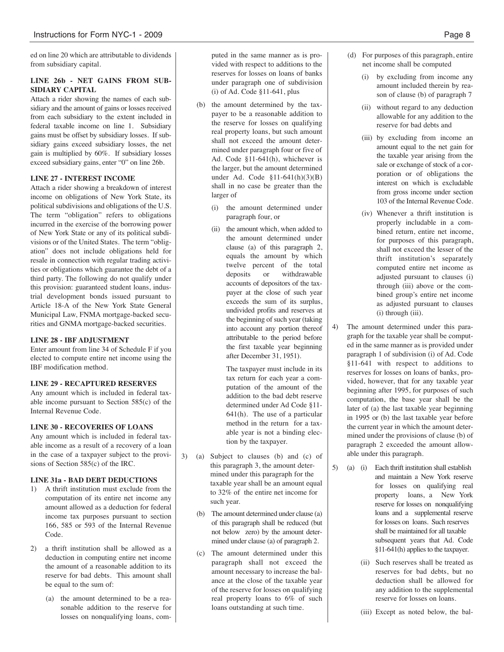ed on line 20 which are attributable to dividends from subsidiary capital.

# **LINE 26b - NET GAINS FROM SUB-SIDIARY CAPITAL**

Attach a rider showing the names of each subsidiary and the amount of gains or losses received from each subsidiary to the extent included in federal taxable income on line 1. Subsidiary gains must be offset by subsidiary losses. If subsidiary gains exceed subsidiary losses, the net gain is multiplied by 60%. If subsidiary losses exceed subsidiary gains, enter "0" on line 26b.

# **LINE 27 - INTEREST INCOME**

Attach a rider showing a breakdown of interest income on obligations of New York State, its political subdivisions and obligations of the U.S. The term "obligation" refers to obligations incurred in the exercise of the borrowing power of New York State or any of its political subdivisions or of the United States. The term "obligation" does not include obligations held for resale in connection with regular trading activities or obligations which guarantee the debt of a third party. The following do not qualify under this provision: guaranteed student loans, industrial development bonds issued pursuant to Article 18-A of the New York State General Municipal Law, FNMA mortgage-backed securities and GNMA mortgage-backed securities.

# **LINE 28 - IBF ADJUSTMENT**

Enter amount from line 34 of Schedule F if you elected to compute entire net income using the IBF modification method.

# **LINE 29 - RECAPTURED RESERVES**

Any amount which is included in federal taxable income pursuant to Section 585(c) of the Internal Revenue Code.

# **LINE 30 - RECOVERIES OF LOANS**

Any amount which is included in federal taxable income as a result of a recovery of a loan in the case of a taxpayer subject to the provisions of Section 585(c) of the IRC.

# **LINE 31a - BAD DEBT DEDUCTIONS**

- 1) A thrift institution must exclude from the computation of its entire net income any amount allowed as a deduction for federal income tax purposes pursuant to section 166, 585 or 593 of the Internal Revenue Code.
- 2) a thrift institution shall be allowed as a deduction in computing entire net income the amount of a reasonable addition to its reserve for bad debts. This amount shall be equal to the sum of:
	- (a) the amount determined to be a reasonable addition to the reserve for losses on nonqualifying loans, com-

puted in the same manner as is provided with respect to additions to the reserves for losses on loans of banks under paragraph one of subdivision (i) of Ad. Code §11-641, plus

- (b) the amount determined by the taxpayer to be a reasonable addition to the reserve for losses on qualifying real property loans, but such amount shall not exceed the amount determined under paragraph four or five of Ad. Code §11-641(h), whichever is the larger, but the amount determined under Ad. Code §11-641(h)(3)(B) shall in no case be greater than the larger of
	- (i) the amount determined under paragraph four, or
	- (ii) the amount which, when added to the amount determined under clause (a) of this paragraph 2, equals the amount by which twelve percent of the total deposits or withdrawable accounts of depositors of the taxpayer at the close of such year exceeds the sum of its surplus, undivided profits and reserves at the beginning of such year (taking into account any portion thereof attributable to the period before the first taxable year beginning after December 31, 1951).

The taxpayer must include in its tax return for each year a computation of the amount of the addition to the bad debt reserve determined under Ad Code §11- 641(h). The use of a particular method in the return for a taxable year is not a binding election by the taxpayer.

- 3) (a) Subject to clauses (b) and (c) of this paragraph 3, the amount determined under this paragraph for the taxable year shall be an amount equal to 32% of the entire net income for such year.
	- (b) The amount determined under clause (a) of this paragraph shall be reduced (but not below zero) by the amount determined under clause (a) of paragraph 2.
	- (c) The amount determined under this paragraph shall not exceed the amount necessary to increase the balance at the close of the taxable year of the reserve for losses on qualifying real property loans to 6% of such loans outstanding at such time.
- (d) For purposes of this paragraph, entire net income shall be computed
	- (i) by excluding from income any amount included therein by reason of clause (b) of paragraph 7
	- (ii) without regard to any deduction allowable for any addition to the reserve for bad debts and
	- (iii) by excluding from income an amount equal to the net gain for the taxable year arising from the sale or exchange of stock of a corporation or of obligations the interest on which is excludable from gross income under section 103 of the Internal Revenue Code.
	- (iv) Whenever a thrift institution is properly includable in a combined return, entire net income, for purposes of this paragraph, shall not exceed the lesser of the thrift institution's separately computed entire net income as adjusted pursuant to clauses (i) through (iii) above or the combined group's entire net income as adjusted pursuant to clauses (i) through (iii).
- 4) The amount determined under this paragraph for the taxable year shall be computed in the same manner as is provided under paragraph 1 of subdivision (i) of Ad. Code §11-641 with respect to additions to reserves for losses on loans of banks, provided, however, that for any taxable year beginning after 1995, for purposes of such computation, the base year shall be the later of (a) the last taxable year beginning in 1995 or (b) the last taxable year before the current year in which the amount determined under the provisions of clause (b) of paragraph 2 exceeded the amount allowable under this paragraph.
- 5) (a) (i) Each thrift institution shall establish and maintain a New York reserve for losses on qualifying real property loans, a New York reserve for losses on nonqualifying loans and a supplemental reserve for losses on loans. Such reserves shall be maintained for all taxable subsequent years that Ad. Code §11-641(h) applies to the taxpayer.
	- (ii) Such reserves shall be treated as reserves for bad debts, but no deduction shall be allowed for any addition to the supplemental reserve for losses on loans.
	- (iii) Except as noted below, the bal-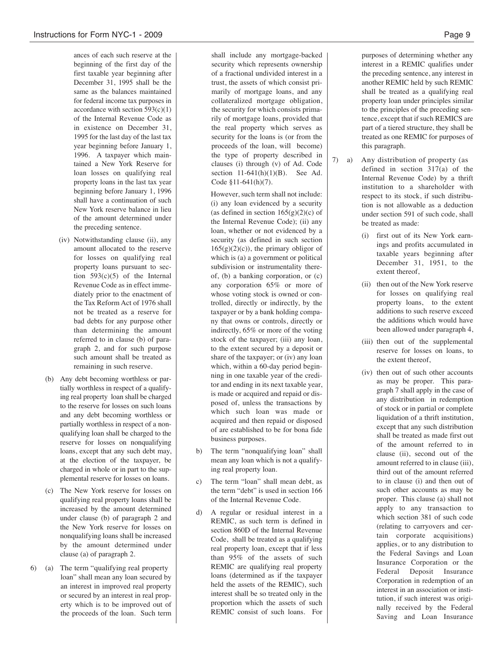ances of each such reserve at the beginning of the first day of the first taxable year beginning after December 31, 1995 shall be the same as the balances maintained for federal income tax purposes in accordance with section  $593(c)(1)$ of the Internal Revenue Code as in existence on December 31, 1995 for the last day of the last tax year beginning before January 1, 1996. A taxpayer which maintained a New York Reserve for loan losses on qualifying real property loans in the last tax year beginning before January 1, 1996 shall have a continuation of such New York reserve balance in lieu of the amount determined under the preceding sentence.

- (iv) Notwithstanding clause (ii), any amount allocated to the reserve for losses on qualifying real property loans pursuant to section  $593(c)(5)$  of the Internal Revenue Code as in effect immediately prior to the enactment of the Tax Reform Act of 1976 shall not be treated as a reserve for bad debts for any purpose other than determining the amount referred to in clause (b) of paragraph 2, and for such purpose such amount shall be treated as remaining in such reserve.
- (b) Any debt becoming worthless or partially worthless in respect of a qualifying real property loan shall be charged to the reserve for losses on such loans and any debt becoming worthless or partially worthless in respect of a nonqualifying loan shall be charged to the reserve for losses on nonqualifying loans, except that any such debt may, at the election of the taxpayer, be charged in whole or in part to the supplemental reserve for losses on loans.
- (c) The New York reserve for losses on qualifying real property loans shall be increased by the amount determined under clause (b) of paragraph 2 and the New York reserve for losses on nonqualifying loans shall be increased by the amount determined under clause (a) of paragraph 2.
- 6) (a) The term "qualifying real property loan" shall mean any loan secured by an interest in improved real property or secured by an interest in real property which is to be improved out of the proceeds of the loan. Such term

shall include any mortgage-backed security which represents ownership of a fractional undivided interest in a trust, the assets of which consist primarily of mortgage loans, and any collateralized mortgage obligation, the security for which consists primarily of mortgage loans, provided that the real property which serves as security for the loans is (or from the proceeds of the loan, will become) the type of property described in clauses (i) through (v) of Ad. Code section 11-641(h)(1)(B). See Ad. Code §11-641(h)(7).

However, such term shall not include: (i) any loan evidenced by a security (as defined in section  $165(g)(2)(c)$  of the Internal Revenue Code); (ii) any loan, whether or not evidenced by a security (as defined in such section  $165(g)(2)(c)$ , the primary obligor of which is (a) a government or political subdivision or instrumentality thereof, (b) a banking corporation, or (c) any corporation 65% or more of whose voting stock is owned or controlled, directly or indirectly, by the taxpayer or by a bank holding company that owns or controls, directly or indirectly, 65% or more of the voting stock of the taxpayer; (iii) any loan, to the extent secured by a deposit or share of the taxpayer; or (iv) any loan which, within a 60-day period beginning in one taxable year of the creditor and ending in its next taxable year, is made or acquired and repaid or disposed of, unless the transactions by which such loan was made or acquired and then repaid or disposed of are established to be for bona fide business purposes.

- b) The term "nonqualifying loan" shall mean any loan which is not a qualifying real property loan.
- c) The term "loan" shall mean debt, as the term "debt" is used in section 166 of the Internal Revenue Code.
- d) A regular or residual interest in a REMIC, as such term is defined in section 860D of the Internal Revenue Code, shall be treated as a qualifying real property loan, except that if less than 95% of the assets of such REMIC are qualifying real property loans (determined as if the taxpayer held the assets of the REMIC), such interest shall be so treated only in the proportion which the assets of such REMIC consist of such loans. For

purposes of determining whether any interest in a REMIC qualifies under the preceding sentence, any interest in another REMIC held by such REMIC shall be treated as a qualifying real property loan under principles similar to the principles of the preceding sentence, except that if such REMICS are part of a tiered structure, they shall be treated as one REMIC for purposes of this paragraph.

- 7) a) Any distribution of property (as defined in section 317(a) of the Internal Revenue Code) by a thrift institution to a shareholder with respect to its stock, if such distribution is not allowable as a deduction under section 591 of such code, shall be treated as made:
	- (i) first out of its New York earnings and profits accumulated in taxable years beginning after December 31, 1951, to the extent thereof,
	- (ii) then out of the New York reserve for losses on qualifying real property loans, to the extent additions to such reserve exceed the additions which would have been allowed under paragraph 4,
	- (iii) then out of the supplemental reserve for losses on loans, to the extent thereof,
	- (iv) then out of such other accounts as may be proper. This paragraph 7 shall apply in the case of any distribution in redemption of stock or in partial or complete liquidation of a thrift institution, except that any such distribution shall be treated as made first out of the amount referred to in clause (ii), second out of the amount referred to in clause (iii), third out of the amount referred to in clause (i) and then out of such other accounts as may be proper. This clause (a) shall not apply to any transaction to which section 381 of such code (relating to carryovers and certain corporate acquisitions) applies, or to any distribution to the Federal Savings and Loan Insurance Corporation or the Federal Deposit Insurance Corporation in redemption of an interest in an association or institution, if such interest was originally received by the Federal Saving and Loan Insurance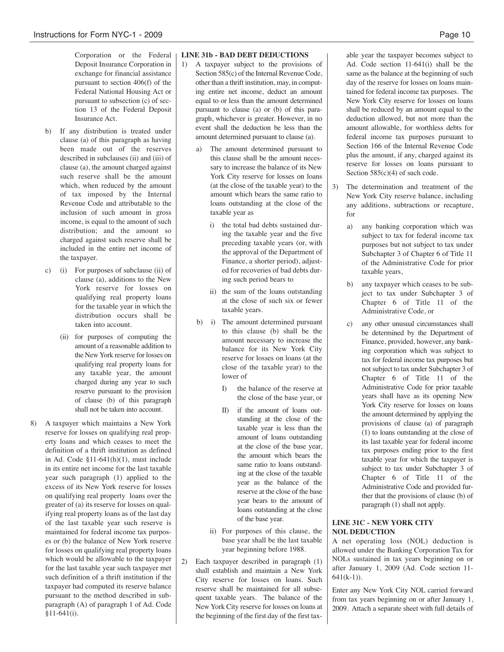Corporation or the Federal Deposit Insurance Corporation in exchange for financial assistance pursuant to section 406(f) of the Federal National Housing Act or pursuant to subsection (c) of section 13 of the Federal Deposit Insurance Act.

- b) If any distribution is treated under clause (a) of this paragraph as having been made out of the reserves described in subclauses (ii) and (iii) of clause (a), the amount charged against such reserve shall be the amount which, when reduced by the amount of tax imposed by the Internal Revenue Code and attributable to the inclusion of such amount in gross income, is equal to the amount of such distribution; and the amount so charged against such reserve shall be included in the entire net income of the taxpayer.
- c) (i) For purposes of subclause (ii) of clause (a), additions to the New York reserve for losses on qualifying real property loans for the taxable year in which the distribution occurs shall be taken into account.
	- (ii) for purposes of computing the amount of a reasonable addition to the New York reserve for losses on qualifying real property loans for any taxable year, the amount charged during any year to such reserve pursuant to the provision of clause (b) of this paragraph shall not be taken into account.
- 8) A taxpayer which maintains a New York reserve for losses on qualifying real property loans and which ceases to meet the definition of a thrift institution as defined in Ad. Code §11-641(h)(1), must include in its entire net income for the last taxable year such paragraph (1) applied to the excess of its New York reserve for losses on qualifying real property loans over the greater of (a) its reserve for losses on qualifying real property loans as of the last day of the last taxable year such reserve is maintained for federal income tax purposes or (b) the balance of New York reserve for losses on qualifying real property loans which would be allowable to the taxpayer for the last taxable year such taxpayer met such definition of a thrift institution if the taxpayer had computed its reserve balance pursuant to the method described in subparagraph (A) of paragraph 1 of Ad. Code §11-641(i).

# **LINE 31b - BAD DEBT DEDUCTIONS**

- 1) A taxpayer subject to the provisions of Section 585(c) of the Internal Revenue Code, other than a thrift institution, may, in computing entire net income, deduct an amount equal to or less than the amount determined pursuant to clause (a) or (b) of this paragraph, whichever is greater. However, in no event shall the deduction be less than the amount determined pursuant to clause (a).
	- a) The amount determined pursuant to this clause shall be the amount necessary to increase the balance of its New York City reserve for losses on loans (at the close of the taxable year) to the amount which bears the same ratio to loans outstanding at the close of the taxable year as
		- i) the total bad debts sustained during the taxable year and the five preceding taxable years (or, with the approval of the Department of Finance, a shorter period), adjusted for recoveries of bad debts during such period bears to
		- ii) the sum of the loans outstanding at the close of such six or fewer taxable years.
	- b) i) The amount determined pursuant to this clause (b) shall be the amount necessary to increase the balance for its New York City reserve for losses on loans (at the close of the taxable year) to the lower of
		- I) the balance of the reserve at the close of the base year, or
		- II) if the amount of loans outstanding at the close of the taxable year is less than the amount of loans outstanding at the close of the base year, the amount which bears the same ratio to loans outstanding at the close of the taxable year as the balance of the reserve at the close of the base year bears to the amount of loans outstanding at the close of the base year.
		- ii) For purposes of this clause, the base year shall be the last taxable year beginning before 1988.
- 2) Each taxpayer described in paragraph (1) shall establish and maintain a New York City reserve for losses on loans. Such reserve shall be maintained for all subsequent taxable years. The balance of the New York City reserve for losses on loans at the beginning of the first day of the first tax-

able year the taxpayer becomes subject to Ad. Code section 11-641(i) shall be the same as the balance at the beginning of such day of the reserve for losses on loans maintained for federal income tax purposes. The New York City reserve for losses on loans shall be reduced by an amount equal to the deduction allowed, but not more than the amount allowable, for worthless debts for federal income tax purposes pursuant to Section 166 of the Internal Revenue Code plus the amount, if any, charged against its reserve for losses on loans pursuant to Section  $585(c)(4)$  of such code.

- 3) The determination and treatment of the New York City reserve balance, including any additions, subtractions or recapture, for
	- a) any banking corporation which was subject to tax for federal income tax purposes but not subject to tax under Subchapter 3 of Chapter 6 of Title 11 of the Administrative Code for prior taxable years,
	- b) any taxpayer which ceases to be subject to tax under Subchapter 3 of Chapter 6 of Title 11 of the Administrative Code, or
	- c) any other unusual circumstances shall be determined by the Department of Finance, provided, however, any banking corporation which was subject to tax for federal income tax purposes but notsubject to tax under Subchapter 3 of Chapter 6 of Title 11 of the Administrative Code for prior taxable years shall have as its opening New York City reserve for losses on loans the amount determined by applying the provisions of clause (a) of paragraph (1) to loans outstanding at the close of its last taxable year for federal income tax purposes ending prior to the first taxable year for which the taxpayer is subject to tax under Subchapter 3 of Chapter 6 of Title 11 of the Administrative Code and provided further that the provisions of clause (b) of paragraph (1) shall not apply.

# **LINE 31C - NEW YORK CITY NOL DEDUCTION**

A net operating loss (NOL) deduction is allowed under the Banking Corporation Tax for NOLs sustained in tax years beginning on or after January 1, 2009 (Ad. Code section 11-  $641(k-1)$ .

Enter any New York City NOL carried forward from tax years beginning on or after January 1, 2009. Attach a separate sheet with full details of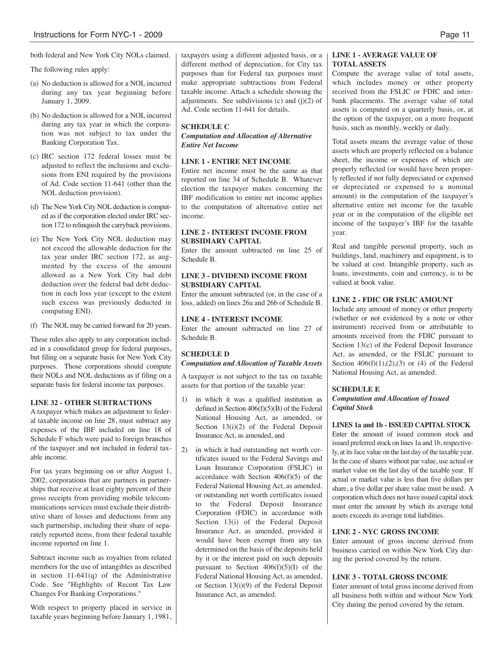The following rules apply:

- (a) No deduction is allowed for a NOL incurred during any tax year beginning before January 1, 2009.
- (b) No deduction is allowed for a NOL incurred during any tax year in which the corporation was not subject to tax under the Banking Corporation Tax.
- (c) IRC section 172 federal losses must be adjusted to reflect the inclusions and exclusions from ENI required by the provisions of Ad. Code section 11-641 (other than the NOL deduction provision).
- (d) The New York City NOL deduction is computed as if the corporation elected under IRC section 172 to relinquish the carryback provisions.
- (e) The New York City NOL deduction may not exceed the allowable deduction for the tax year under IRC section 172, as augmented by the excess of the amount allowed as a New York City bad debt deduction over the federal bad debt deduction in each loss year (except to the extent such excess was previously deducted in computing ENI).
- (f) The NOL may be carried forward for 20 years.

These rules also apply to any corporation included in a consolidated group for federal purposes, but filing on a separate basis for New York City purposes. Those corporations should compute their NOLs and NOL deductions as if filing on a separate basis for federal income tax purposes.

# **LINE 32 - OTHER SUBTRACTIONS**

A taxpayer which makes an adjustment to federal taxable income on line 28, must subtract any expenses of the IBF included on line 18 of Schedule F which were paid to foreign branches of the taxpayer and not included in federal taxable income.

For tax years beginning on or after August 1, 2002, corporations that are partners in partnerships that receive at least eighty percent of their gross receipts from providing mobile telecommunications services must exclude their distributive share of losses and deductions from any such partnership, including their share of separately reported items, from their federal taxable income reported on line 1.

Subtract income such as royalties from related members for the use of intangibles as described in section 11-641(q) of the Administrative Code. See "Highlights of Recent Tax Law Changes For Banking Corporations."

With respect to property placed in service in taxable years beginning before January 1, 1981, taxpayers using a different adjusted basis, or a different method of depreciation, for City tax purposes than for Federal tax purposes must make appropriate subtractions from Federal taxable income. Attach a schedule showing the adjustments. See subdivisions  $(c)$  and  $(j)(2)$  of Ad. Code section 11-641 for details.

#### **SCHEDULE C**

*Computation and Allocation of Alternative Entire Net Income*

# **LINE 1 - ENTIRE NET INCOME**

Entire net income must be the same as that reported on line 34 of Schedule B. Whatever election the taxpayer makes concerning the IBF modification to entire net income applies to the computation of alternative entire net income.

# **LINE 2 - INTEREST INCOME FROM SUBSIDIARY CAPITAL**

Enter the amount subtracted on line 25 of Schedule B.

### **LINE 3 - DIVIDEND INCOME FROM SUBSIDIARY CAPITAL**

Enter the amount subtracted (or, in the case of a loss, added) on lines 26a and 26b of Schedule B.

#### **LINE 4 - INTEREST INCOME**

Enter the amount subtracted on line 27 of Schedule B.

# **SCHEDULE D**

# *Computation and Allocation of Taxable Assets*

A taxpayer is not subject to the tax on taxable assets for that portion of the taxable year:

- 1) in which it was a qualified institution as defined in Section 406(f)(5)(B) of the Federal National Housing Act, as amended, or Section 13(i)(2) of the Federal Deposit Insurance Act, as amended, and
- 2) in which it had outstanding net worth certificates issued to the Federal Savings and Loan Insurance Corporation (FSLIC) in accordance with Section  $406(f)(5)$  of the Federal National Housing Act, as amended, or outstanding net worth certificates issued to the Federal Deposit Insurance Corporation (FDIC) in accordance with Section 13(i) of the Federal Deposit Insurance Act, as amended, provided it would have been exempt from any tax determined on the basis of the deposits held by it or the interest paid on such deposits pursuant to Section  $406(f)(5)(I)$  of the Federal National Housing Act, as amended, or Section 13(i)(9) of the Federal Deposit Insurance Act, as amended.

# **LINE 1 - AVERAGE VALUE OF TOTAL ASSETS**

Compute the average value of total assets, which includes money or other property received from the FSLIC or FDIC and interbank placements. The average value of total assets is computed on a quarterly basis, or, at the option of the taxpayer, on a more frequent basis, such as monthly, weekly or daily.

Total assets means the average value of those assets which are properly reflected on a balance sheet, the income or expenses of which are properly reflected (or would have been properly reflected if not fully depreciated or expensed or depreciated or expensed to a nominal amount) in the computation of the taxpayer's alternative entire net income for the taxable year or in the computation of the eligible net income of the taxpayer's IBF for the taxable year.

Real and tangible personal property, such as buildings, land, machinery and equipment, is to be valued at cost. Intangible property, such as loans, investments, coin and currency, is to be valued at book value.

# **LINE 2 - FDIC OR FSLIC AMOUNT**

Include any amount of money or other property (whether or not evidenced by a note or other instrument) received from or attributable to amounts received from the FDIC pursuant to Section 13(c) of the Federal Deposit Insurance Act, as amended, or the FSLIC pursuant to Section  $406(f)(1),(2),(3)$  or  $(4)$  of the Federal National Housing Act, as amended.

# **SCHEDULE E**

*Computation and Allocation of Issued Capital Stock*

# **LINES 1a and 1b - ISSUED CAPITAL STOCK**

Enter the amount of issued common stock and issued preferred stock on lines 1a and 1b, respectively, at its face value on the last day of the taxable year. In the case of shares without par value, use actual or market value on the last day of the taxable year. If actual or market value is less than five dollars per share, a five dollar per share value must be used. A corporation which does not have issued capital stock must enter the amount by which its average total assets exceeds its average total liabilities.

# **LINE 2 - NYC GROSS INCOME**

Enter amount of gross income derived from business carried on within New York City during the period covered by the return.

# **LINE 3 - TOTAL GROSS INCOME**

Enter amount of total gross income derived from all business both within and without New York City during the period covered by the return.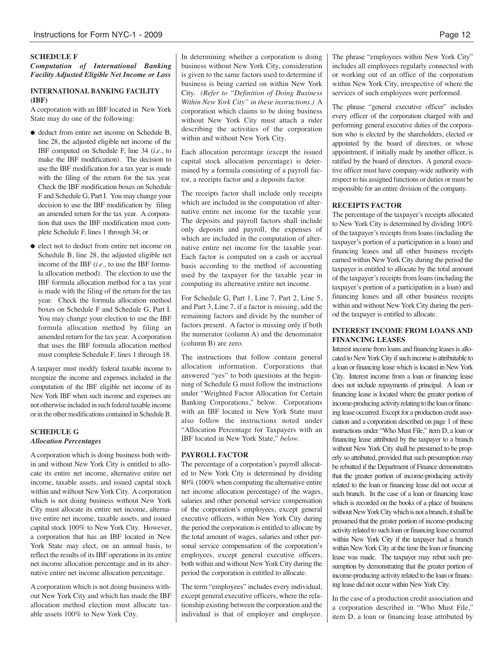# **SCHEDULE F**

*Computation of International Banking Facility Adjusted Eligible Net Income or Loss*

# **INTERNATIONAL BANKING FACILITY (IBF)**

A corporation with an IBF located in New York State may do one of the following:

- deduct from entire net income on Schedule B, line 28, the adjusted eligible net income of the IBF computed on Schedule F, line 34 (*i.e.*, to make the IBF modification). The decision to use the IBF modification for a tax year is made with the filing of the return for the tax year. Check the IBF modification boxes on Schedule F and Schedule G, Part I. You may change your decision to use the IBF modification by filing an amended return for the tax year. A corporation that uses the IBF modification must complete Schedule F, lines 1 through 34; or
- elect not to deduct from entire net income on Schedule B, line 28, the adjusted eligible net income of the IBF (*i.e.,* to use the IBF formula allocation method). The election to use the IBF formula allocation method for a tax year is made with the filing of the return for the tax year. Check the formula allocation method boxes on Schedule F and Schedule G, Part I. You may change your election to use the IBF formula allocation method by filing an amended return for the tax year. Acorporation that uses the IBF formula allocation method must complete Schedule F, lines 1 through 18.

A taxpayer must modify federal taxable income to recognize the income and expenses included in the computation of the IBF eligible net income of its New York IBF when such income and expenses are not otherwise included in such federal taxable income or in the other modifications contained in Schedule B.

# **SCHEDULE G** *Allocation Percentages*

A corporation which is doing business both within and without New York City is entitled to allocate its entire net income, alternative entire net income, taxable assets, and issued capital stock within and without New York City. Acorporation which is not doing business without New York City must allocate its entire net income, alternative entire net income, taxable assets, and issued capital stock 100% to New York City. However, a corporation that has an IBF located in New York State may elect, on an annual basis, to reflect the results of its IBF operations in its entire net income allocation percentage and in its alternative entire net income allocation percentage.

A corporation which is not doing business without New York City and which has made the IBF allocation method election must allocate taxable assets 100% to New York City.

In determining whether a corporation is doing business without New York City, consideration is given to the same factors used to determine if business is being carried on within New York City. *(Refer to "Definition of Doing Business Within New York City" in these instructions.)* A corporation which claims to be doing business without New York City must attach a rider describing the activities of the corporation within and without New York City.

Each allocation percentage (except the issued capital stock allocation percentage) is determined by a formula consisting of a payroll factor, a receipts factor and a deposits factor.

The receipts factor shall include only receipts which are included in the computation of alternative entire net income for the taxable year. The deposits and payroll factors shall include only deposits and payroll, the expenses of which are included in the computation of alternative entire net income for the taxable year. Each factor is computed on a cash or accrual basis according to the method of accounting used by the taxpayer for the taxable year in computing its alternative entire net income.

For Schedule G, Part 1, Line 7, Part 2, Line 5, and Part 3, Line 7, if a factor is missing, add the remaining factors and divide by the number of factors present. A factor is missing only if both the numerator (column A) and the denominator (column B) are zero.

The instructions that follow contain general allocation information. Corporations that answered "yes" to both questions at the beginning of Schedule G must follow the instructions under "Weighted Factor Allocation for Certain Banking Corporations," below. Corporations with an IBF located in New York State must also follow the instructions noted under "Allocation Percentage for Taxpayers with an IBF located in New York State," *below*.

#### **PAYROLL FACTOR**

The percentage of a corporation's payroll allocated to New York City is determined by dividing 80% (100% when computing the alternative entire net income allocation percentage) of the wages, salaries and other personal service compensation of the corporation's employees, except general executive officers, within New York City during the period the corporation is entitled to allocate by the total amount of wages, salaries and other personal service compensation of the corporation's employees, except general executive officers, both within and without New York City during the period the corporation is entitled to allocate.

The term "employees" includes every individual, except general executive officers, where the relationship existing between the corporation and the individual is that of employer and employee.

The phrase "employees within New York City" includes all employees regularly connected with or working out of an office of the corporation within New York City, irrespective of where the services of such employees were performed.

The phrase "general executive officer" includes every officer of the corporation charged with and performing general executive duties of the corporation who is elected by the shareholders, elected or appointed by the board of directors, or whose appointment, if initially made by another officer, is ratified by the board of directors. A general executive officer must have company-wide authority with respect to his assigned functions or duties or must be responsible for an entire division of the company.

#### **RECEIPTS FACTOR**

The percentage of the taxpayer's receipts allocated to New York City is determined by dividing 100% of the taxpayer's receipts from loans (including the taxpayer's portion of a participation in a loan) and financing leases and all other business receipts earned within New York City during the period the taxpayer is entitled to allocate by the total amount of the taxpayer's receipts from loans (including the taxpayer's portion of a participation in a loan) and financing leases and all other business receipts within and without New York City during the period the taxpayer is entitled to allocate.

# **INTEREST INCOME FROM LOANS AND FINANCING LEASES**

Interest income from loans and financing leases is allocated to New York City if such income is attributable to a loan or financing lease which is located in New York City. Interest income from a loan or financing lease does not include repayments of principal. A loan or financing lease is located where the greater portion of income-producing activity relating to the loan or financing lease occurred. Except for a production credit association and a corporation described on page 1 of these instructions under "Who Must File," item D, a loan or financing lease attributed by the taxpayer to a branch without New York City shall be presumed to be properly so attributed, provided that such presumption may be rebutted if the Department of Finance demonstrates that the greater portion of income-producing activity related to the loan or financing lease did not occur at such branch. In the case of a loan or financing lease which is recorded on the books of a place of business without New York City which is not a branch, it shall be presumed that the greater portion of income-producing activity related to such loan or financing lease occurred within New York City if the taxpayer had a branch within New York City at the time the loan or financing lease was made. The taxpayer may rebut such presumption by demonstrating that the greater portion of income-producing activity related to the loan or financing lease did not occur within NewYorkCity.

In the case of a production credit association and a corporation described in "Who Must File," item D, a loan or financing lease attributed by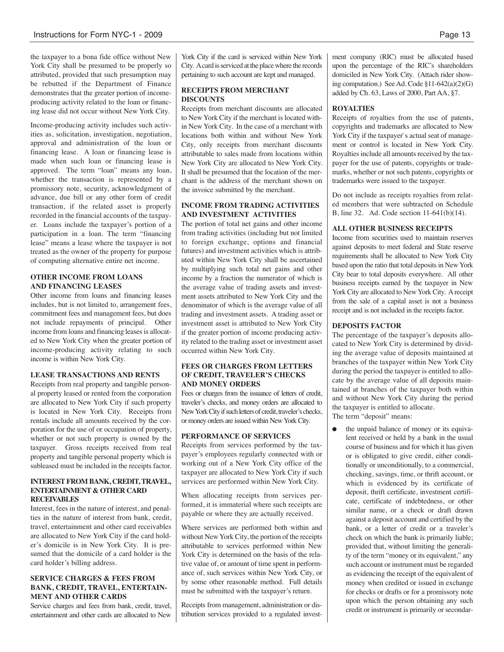the taxpayer to a bona fide office without New York City shall be presumed to be properly so attributed, provided that such presumption may be rebutted if the Department of Finance demonstrates that the greater portion of incomeproducing activity related to the loan or financing lease did not occur without New York City.

Income-producing activity includes such activities as, solicitation, investigation, negotiation, approval and administration of the loan or financing lease. A loan or financing lease is made when such loan or financing lease is approved. The term "loan" means any loan, whether the transaction is represented by a promissory note, security, acknowledgment of advance, due bill or any other form of credit transaction, if the related asset is properly recorded in the financial accounts of the taxpayer. Loans include the taxpayer's portion of a participation in a loan. The term "financing lease" means a lease where the taxpayer is not treated as the owner of the property for purpose of computing alternative entire net income.

# **OTHER INCOME FROM LOANS AND FINANCING LEASES**

Other income from loans and financing leases includes, but is not limited to, arrangement fees, commitment fees and management fees, but does not include repayments of principal. Other income from loans and financing leases is allocated to New York City when the greater portion of income-producing activity relating to such income is within New York City.

# **LEASE TRANSACTIONS AND RENTS**

Receipts from real property and tangible personal property leased or rented from the corporation are allocated to New York City if such property is located in New York City. Receipts from rentals include all amounts received by the corporation for the use of or occupation of property, whether or not such property is owned by the taxpayer. Gross receipts received from real property and tangible personal property which is subleased must be included in the receipts factor.

#### **INTERESTFROM BANK, CREDIT,TRAVEL, ENTERTAINMENT & OTHER CARD RECEIVABLES**

Interest, fees in the nature of interest, and penalties in the nature of interest from bank, credit, travel, entertainment and other card receivables are allocated to New York City if the card holder's domicile is in New York City. It is presumed that the domicile of a card holder is the card holder's billing address.

# **SERVICE CHARGES & FEES FROM BANK, CREDIT, TRAVEL, ENTERTAIN-MENT AND OTHER CARDS**

Service charges and fees from bank, credit, travel, entertainment and other cards are allocated to New

York City if the card is serviced within New York City. A card is serviced at the place where the records pertaining to such account are kept and managed.

# **RECEIPTS FROM MERCHANT DISCOUNTS**

Receipts from merchant discounts are allocated to New York City if the merchant is located within New York City. In the case of a merchant with locations both within and without New York City, only receipts from merchant discounts attributable to sales made from locations within New York City are allocated to New York City. It shall be presumed that the location of the merchant is the address of the merchant shown on the invoice submitted by the merchant.

# **INCOME FROM TRADING ACTIVITIES AND INVESTMENT ACTIVITIES**

The portion of total net gains and other income from trading activities (including but not limited to foreign exchange, options and financial futures) and investment activities which is attributed within New York City shall be ascertained by multiplying such total net gains and other income by a fraction the numerator of which is the average value of trading assets and investment assets attributed to New York City and the denominator of which is the average value of all trading and investment assets. A trading asset or investment asset is attributed to New York City if the greater portion of income producing activity related to the trading asset or investment asset occurred within New York City.

### **FEES OR CHARGES FROM LETTERS OF CREDIT, TRAVELER'S CHECKS AND MONEY ORDERS**

Fees or charges from the issuance of letters of credit, traveler's checks, and money orders are allocated to New York City if such letters of credit, traveler's checks, or money orders are issued within New York City.

# **PERFORMANCE OF SERVICES**

Receipts from services performed by the taxpayer's employees regularly connected with or working out of a New York City office of the taxpayer are allocated to New York City if such services are performed within New York City.

When allocating receipts from services performed, it is immaterial where such receipts are payable or where they are actually received.

Where services are performed both within and without New York City, the portion of the receipts attributable to services performed within New York City is determined on the basis of the relative value of, or amount of time spent in performance of, such services within New York City, or by some other reasonable method. Full details must be submitted with the taxpayer's return.

Receipts from management, administration or distribution services provided to a regulated investment company (RIC) must be allocated based upon the percentage of the RIC's shareholders domiciled in New York City. (Attach rider showing computation.) SeeAd. Code §11-642(a)(2)(G) added by Ch. 63, Laws of 2000, Part AA, §7.

#### **ROYALTIES**

Receipts of royalties from the use of patents, copyrights and trademarks are allocated to New York City if the taxpayer`s actual seat of management or control is located in New York City. Royalties include all amounts received by the taxpayer for the use of patents, copyrights or trademarks, whether or not such patents, copyrights or trademarks were issued to the taxpayer.

Do not include as receipts royalties from related members that were subtracted on Schedule B, line 32. Ad. Code section 11-641(b)(14).

#### **ALL OTHER BUSINESS RECEIPTS**

Income from securities used to maintain reserves against deposits to meet federal and State reserve requirements shall be allocated to New York City based upon the ratio that total deposits in New York City bear to total deposits everywhere. All other business receipts earned by the taxpayer in New York City are allocated to New York City. Areceipt from the sale of a capital asset is not a business receipt and is not included in the receipts factor.

#### **DEPOSITS FACTOR**

The percentage of the taxpayer's deposits allocated to New York City is determined by dividing the average value of deposits maintained at branches of the taxpayer within New York City during the period the taxpayer is entitled to allocate by the average value of all deposits maintained at branches of the taxpayer both within and without New York City during the period the taxpayer is entitled to allocate. The term "deposit" means:

• the unpaid balance of money or its equivalent received or held by a bank in the usual course of business and for which it has given or is obligated to give credit, either conditionally or unconditionally, to a commercial, checking, savings, time, or thrift account, or which is evidenced by its certificate of deposit, thrift certificate, investment certificate, certificate of indebtedness, or other similar name, or a check or draft drawn against a deposit account and certified by the bank, or a letter of credit or a traveler's check on which the bank is primarily liable; provided that, without limiting the generality of the term "money or its equivalent," any such account or instrument must be regarded as evidencing the receipt of the equivalent of money when credited or issued in exchange for checks or drafts or for a promissory note upon which the person obtaining any such credit or instrument is primarily or secondar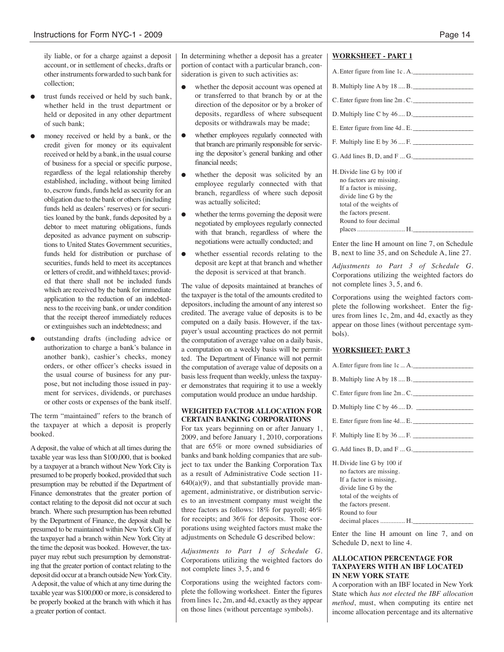ily liable, or for a charge against a deposit account, or in settlement of checks, drafts or other instruments forwarded to such bank for collection;

- trust funds received or held by such bank, whether held in the trust department or held or deposited in any other department of such bank;
- money received or held by a bank, or the credit given for money or its equivalent received or held by a bank, in the usual course of business for a special or specific purpose, regardless of the legal relationship thereby established, including, without being limited to, escrow funds, funds held as security for an obligation due to the bank or others(including funds held as dealers' reserves) or for securities loaned by the bank, funds deposited by a debtor to meet maturing obligations, funds deposited as advance payment on subscriptions to United States Government securities, funds held for distribution or purchase of securities, funds held to meet its acceptances or letters of credit, and withheld taxes; provided that there shall not be included funds which are received by the bank for immediate application to the reduction of an indebtedness to the receiving bank, or under condition that the receipt thereof immediately reduces or extinguishes such an indebtedness; and
- outstanding drafts (including advice or authorization to charge a bank's balance in another bank), cashier's checks, money orders, or other officer's checks issued in the usual course of business for any purpose, but not including those issued in payment for services, dividends, or purchases or other costs or expenses of the bank itself.

The term "maintained" refers to the branch of the taxpayer at which a deposit is properly booked.

Adeposit, the value of which at all times during the taxable year was less than \$100,000, that is booked by a taxpayer at a branch without New York City is presumed to be properly booked, provided that such presumption may be rebutted if the Department of Finance demonstrates that the greater portion of contact relating to the deposit did not occur at such branch. Where such presumption has been rebutted by the Department of Finance, the deposit shall be presumed to be maintained within NewYork City if the taxpayer had a branch within New York City at the time the deposit was booked. However, the taxpayer may rebut such presumption by demonstrating that the greater portion of contact relating to the deposit did occur at a branch outside New York City. Adeposit, the value of which at any time during the taxable year was \$100,000 or more, is considered to be properly booked at the branch with which it has a greater portion of contact.

In determining whether a deposit has a greater portion of contact with a particular branch, consideration is given to such activities as:

- whether the deposit account was opened at or transferred to that branch by or at the direction of the depositor or by a broker of deposits, regardless of where subsequent deposits or withdrawals may be made;
- whether employees regularly connected with that branch are primarily responsible for servicing the depositor's general banking and other financial needs;
- whether the deposit was solicited by an employee regularly connected with that branch, regardless of where such deposit was actually solicited;
- whether the terms governing the deposit were negotiated by employees regularly connected with that branch, regardless of where the negotiations were actually conducted; and
- whether essential records relating to the deposit are kept at that branch and whether the deposit is serviced at that branch.

The value of deposits maintained at branches of the taxpayer is the total of the amounts credited to depositors, including the amount of any interest so credited. The average value of deposits is to be computed on a daily basis. However, if the taxpayer's usual accounting practices do not permit the computation of average value on a daily basis, a computation on a weekly basis will be permitted. The Department of Finance will not permit the computation of average value of deposits on a basis less frequent than weekly, unless the taxpayer demonstrates that requiring it to use a weekly computation would produce an undue hardship.

#### **WEIGHTED FACTOR ALLOCATION FOR CERTAIN BANKING CORPORATIONS**

For tax years beginning on or after January 1, 2009, and before January 1, 2010, corporations that are 65% or more owned subsidiaries of banks and bank holding companies that are subject to tax under the Banking Corporation Tax as a result of Administrative Code section 11-  $640(a)(9)$ , and that substantially provide management, administrative, or distribution services to an investment company must weight the three factors as follows: 18% for payroll; 46% for receipts; and 36% for deposits. Those corporations using weighted factors must make the adjustments on Schedule G described below:

*Adjustments to Part 1 of Schedule G.* Corporations utilizing the weighted factors do not complete lines 3, 5, and 6

Corporations using the weighted factors complete the following worksheet. Enter the figures from lines 1c, 2m, and 4d, exactly as they appear on those lines (without percentage symbols).

# **WORKSHEET - PART 1**

| A. Enter figure from line 1c. A.                      |
|-------------------------------------------------------|
| B. Multiply line A by 18  B.                          |
| C. Enter figure from line 2m. C.                      |
| D. Multiply line C by $46 \dots D$ .                  |
| E. Enter figure from line 4d E.                       |
| F. Multiply line E by 36  F.                          |
| $G.$ Add lines $B, D$ , and $F \dots G$ .             |
| H. Divide line G by 100 if<br>no factors are missing. |
| If a factor is missing,                               |
| divide line G by the                                  |
| total of the weights of                               |

Enter the line H amount on line 7, on Schedule B, next to line 35, and on Schedule A, line 27.

*Adjustments to Part 3 of Schedule G.* Corporations utilizing the weighted factors do not complete lines 3, 5, and 6.

Corporations using the weighted factors complete the following worksheet. Enter the figures from lines 1c, 2m, and 4d, exactly as they appear on those lines (without percentage symbols).

# **WORKSHEET: PART 3**

the factors present. Round to four decimal places ................................. H.\_

| A. Enter figure from line 1c  A.                                                                                                                            |
|-------------------------------------------------------------------------------------------------------------------------------------------------------------|
| $B.$ Multiply line A by $18 \dots B$ .                                                                                                                      |
| $C$ . Enter figure from line $2m$ $C$ .                                                                                                                     |
|                                                                                                                                                             |
| D. Multiply line C by $46 \dots D$ .                                                                                                                        |
| E. Enter figure from line $4dE$ .                                                                                                                           |
| F. Multiply line E by 36  F.                                                                                                                                |
| $G.$ Add lines $B, D,$ and $FG$ .                                                                                                                           |
| H. Divide line G by 100 if<br>no factors are missing.<br>If a factor is missing,<br>divide line G by the<br>total of the weights of<br>the factors present. |
|                                                                                                                                                             |

Round to four decimal places ............... H.\_\_\_

Enter the line H amount on line 7, and on Schedule D, next to line 4.

#### **ALLOCATION PERCENTAGE FOR TAXPAYERS WITH AN IBF LOCATED IN NEW YORK STATE**

A corporation with an IBF located in New York State which *has not elected the IBF allocation method*, must, when computing its entire net income allocation percentage and its alternative